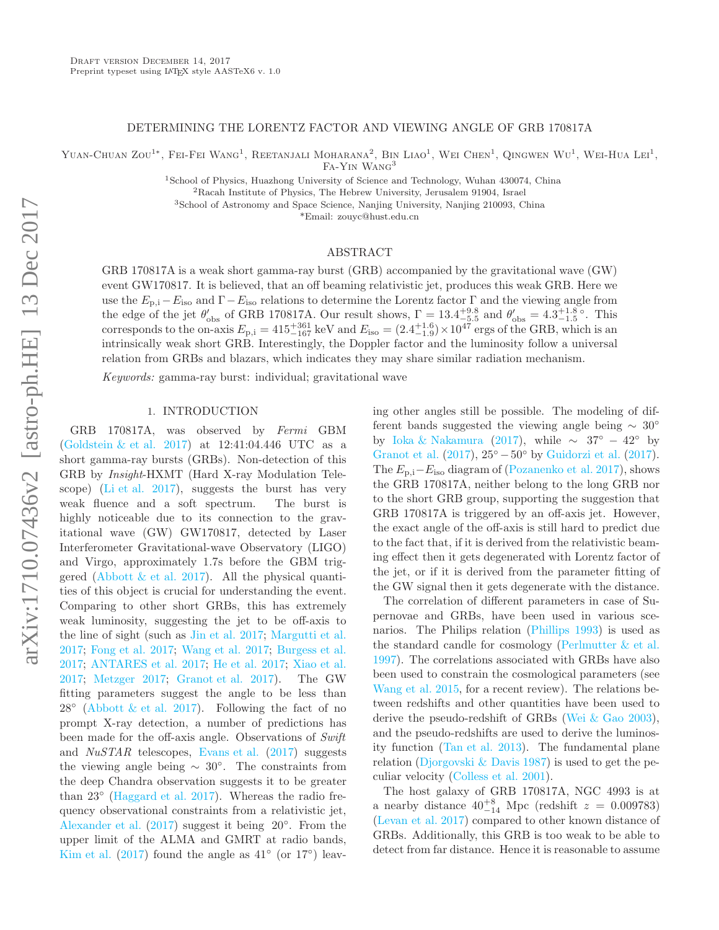#### DETERMINING THE LORENTZ FACTOR AND VIEWING ANGLE OF GRB 170817A

YUAN-CHUAN ZOU<sup>1\*</sup>, FEI-FEI WANG<sup>1</sup>, REETANJALI MOHARANA<sup>2</sup>, BIN LIAO<sup>1</sup>, WEI CHEN<sup>1</sup>, QINGWEN WU<sup>1</sup>, WEI-HUA LEI<sup>1</sup>,

Fa-Yin Wang<sup>3</sup>

<sup>1</sup>School of Physics, Huazhong University of Science and Technology, Wuhan 430074, China

<sup>2</sup>Racah Institute of Physics, The Hebrew University, Jerusalem 91904, Israel

<sup>3</sup>School of Astronomy and Space Science, Nanjing University, Nanjing 210093, China

\*Email: zouyc@hust.edu.cn

# ABSTRACT

GRB 170817A is a weak short gamma-ray burst (GRB) accompanied by the gravitational wave (GW) event GW170817. It is believed, that an off beaming relativistic jet, produces this weak GRB. Here we use the  $E_{\rm p,i} - E_{\rm iso}$  and  $\Gamma - E_{\rm iso}$  relations to determine the Lorentz factor  $\Gamma$  and the viewing angle from the edge of the jet  $\theta'_{\rm obs}$  of GRB 170817A. Our result shows,  $\Gamma = 13.4^{+9.8}_{-5.5}$  and  $\theta'_{\rm obs} = 4.3^{+1.8}_{-1.5}$ . This corresponds to the on-axis  $E_{p,i} = 415^{+361}_{-167}$  keV and  $E_{iso} = (2.4^{+1.6}_{-1.9}) \times 10^{47}$  ergs of the GRB, which is an intrinsically weak short GRB. Interestingly, the Doppler factor and the luminosity follow a universal relation from GRBs and blazars, which indicates they may share similar radiation mechanism.

Keywords: gamma-ray burst: individual; gravitational wave

#### 1. INTRODUCTION

GRB 170817A, was observed by Fermi GBM (Goldstein & et al. 2017) at 12:41:04.446 UTC as a short gamma-ray bursts (GRBs). Non-detection of this GRB by Insight-HXMT (Hard X-ray Modulation Telescope) (Li et al. 2017), suggests the burst has very weak fluence and a soft spectrum. The burst is highly noticeable due to its connection to the gravitational wave (GW) GW170817, detected by Laser Interferometer Gravitational-wave Observatory (LIGO) and Virgo, approximately 1.7s before the GBM triggered (Abbott  $\&$  et al. 2017). All the physical quantities of this object is crucial for understanding the event. Comparing to other short GRBs, this has extremely weak luminosity, suggesting the jet to be off-axis to the line of sight (such as Jin et al. 2017; Margutti et al. 2017; Fong et al. 2017; Wang et al. 2017; Burgess et al. 2017; ANTARES et al. 2017; He et al. 2017; Xiao et al. 2017; Metzger 2017; Granot et al. 2017). The GW fitting parameters suggest the angle to be less than  $28°$  (Abbott & et al. 2017). Following the fact of no prompt X-ray detection, a number of predictions has been made for the off-axis angle. Observations of Swift and NuSTAR telescopes, Evans et al. (2017) suggests the viewing angle being  $\sim 30^{\circ}$ . The constraints from the deep Chandra observation suggests it to be greater than 23<sup>°</sup> (Haggard et al. 2017). Whereas the radio frequency observational constraints from a relativistic jet, Alexander et al. (2017) suggest it being 20◦ . From the upper limit of the ALMA and GMRT at radio bands, Kim et al. (2017) found the angle as  $41°$  (or  $17°$ ) leaving other angles still be possible. The modeling of different bands suggested the viewing angle being ∼ 30◦ by Ioka & Nakamura (2017), while  $\sim 37^{\circ} - 42^{\circ}$  by Granot et al.  $(2017)$ ,  $25^{\circ} - 50^{\circ}$  by Guidorzi et al.  $(2017)$ . The  $E_{p,i}-E_{iso}$  diagram of (Pozanenko et al. 2017), shows the GRB 170817A, neither belong to the long GRB nor to the short GRB group, supporting the suggestion that GRB 170817A is triggered by an off-axis jet. However, the exact angle of the off-axis is still hard to predict due to the fact that, if it is derived from the relativistic beaming effect then it gets degenerated with Lorentz factor of the jet, or if it is derived from the parameter fitting of the GW signal then it gets degenerate with the distance.

The correlation of different parameters in case of Supernovae and GRBs, have been used in various scenarios. The Philips relation (Phillips 1993) is used as the standard candle for cosmology (Perlmutter  $&\&$  et al. 1997). The correlations associated with GRBs have also been used to constrain the cosmological parameters (see Wang et al. 2015, for a recent review). The relations between redshifts and other quantities have been used to derive the pseudo-redshift of GRBs (Wei & Gao 2003), and the pseudo-redshifts are used to derive the luminosity function (Tan et al. 2013). The fundamental plane relation (Djorgovski  $\&$  Davis 1987) is used to get the peculiar velocity (Colless et al. 2001).

The host galaxy of GRB 170817A, NGC 4993 is at a nearby distance  $40^{+8}_{-14}$  Mpc (redshift  $z = 0.009783$ ) (Levan et al. 2017) compared to other known distance of GRBs. Additionally, this GRB is too weak to be able to detect from far distance. Hence it is reasonable to assume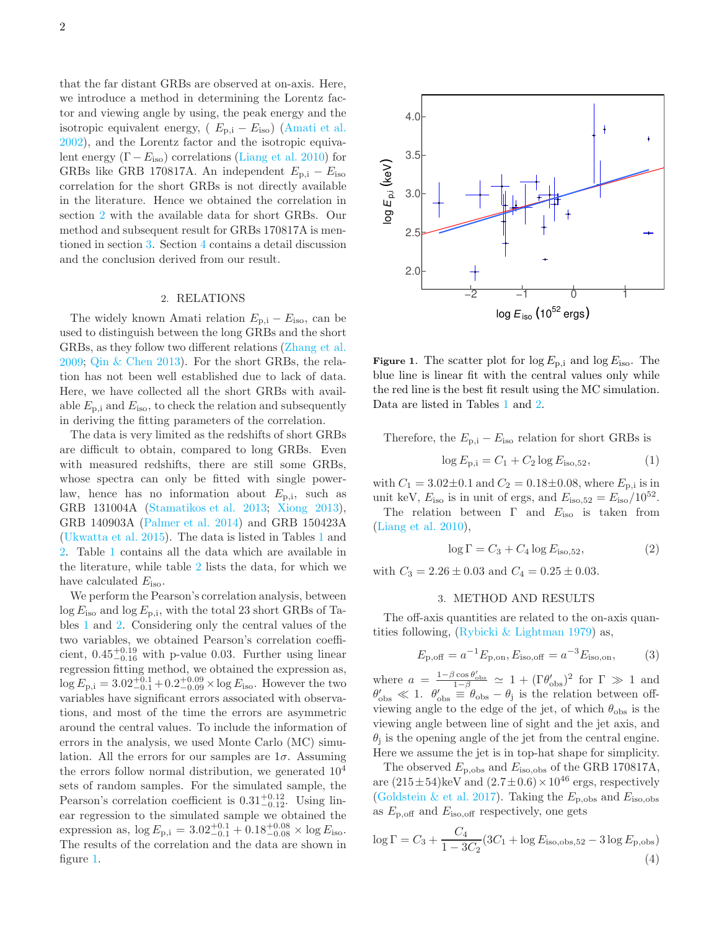that the far distant GRBs are observed at on-axis. Here, we introduce a method in determining the Lorentz factor and viewing angle by using, the peak energy and the isotropic equivalent energy,  $(E_{p,i} - E_{iso})$  (Amati et al. 2002), and the Lorentz factor and the isotropic equivalent energy  $(\Gamma - E_{\text{iso}})$  correlations (Liang et al. 2010) for GRBs like GRB 170817A. An independent  $E_{p,i} - E_{iso}$ correlation for the short GRBs is not directly available in the literature. Hence we obtained the correlation in section 2 with the available data for short GRBs. Our method and subsequent result for GRBs 170817A is mentioned in section 3. Section 4 contains a detail discussion and the conclusion derived from our result.

### 2. RELATIONS

The widely known Amati relation  $E_{p,i} - E_{iso}$ , can be used to distinguish between the long GRBs and the short GRBs, as they follow two different relations (Zhang et al. 2009; Qin & Chen 2013). For the short GRBs, the relation has not been well established due to lack of data. Here, we have collected all the short GRBs with available  $E_{\rm p,i}$  and  $E_{\rm iso}$ , to check the relation and subsequently in deriving the fitting parameters of the correlation.

The data is very limited as the redshifts of short GRBs are difficult to obtain, compared to long GRBs. Even with measured redshifts, there are still some GRBs, whose spectra can only be fitted with single powerlaw, hence has no information about  $E_{\rm{p,i}}$ , such as GRB 131004A (Stamatikos et al. 2013; Xiong 2013), GRB 140903A (Palmer et al. 2014) and GRB 150423A (Ukwatta et al. 2015). The data is listed in Tables 1 and 2. Table 1 contains all the data which are available in the literature, while table 2 lists the data, for which we have calculated  $E_{\text{iso}}$ .

We perform the Pearson's correlation analysis, between  $\log E_{\text{iso}}$  and  $\log E_{\text{p,i}}$ , with the total 23 short GRBs of Tables 1 and 2. Considering only the central values of the two variables, we obtained Pearson's correlation coefficient,  $0.45_{-0.16}^{+0.19}$  with p-value 0.03. Further using linear regression fitting method, we obtained the expression as,  $\log E_{\rm p,i} = 3.02_{-0.1}^{+0.1} + 0.2_{-0.09}^{+0.09} \times \log E_{\rm iso}$ . However the two variables have significant errors associated with observations, and most of the time the errors are asymmetric around the central values. To include the information of errors in the analysis, we used Monte Carlo (MC) simulation. All the errors for our samples are  $1\sigma$ . Assuming the errors follow normal distribution, we generated  $10<sup>4</sup>$ sets of random samples. For the simulated sample, the Pearson's correlation coefficient is  $0.31_{-0.12}^{+0.12}$ . Using linear regression to the simulated sample we obtained the expression as,  $\log E_{\rm p,i} = 3.02^{+0.1}_{-0.1} + 0.18^{+0.08}_{-0.08} \times \log E_{\rm iso}$ . The results of the correlation and the data are shown in figure 1.



**Figure 1.** The scatter plot for  $\log E_{\text{p,i}}$  and  $\log E_{\text{iso}}$ . The blue line is linear fit with the central values only while the red line is the best fit result using the MC simulation. Data are listed in Tables 1 and 2.

Therefore, the  $E_{p,i} - E_{iso}$  relation for short GRBs is

$$
\log E_{\rm p,i} = C_1 + C_2 \log E_{\rm iso, 52},\tag{1}
$$

with  $C_1 = 3.02 \pm 0.1$  and  $C_2 = 0.18 \pm 0.08$ , where  $E_{p,i}$  is in unit keV,  $E_{\text{iso}}$  is in unit of ergs, and  $E_{\text{iso},52} = E_{\text{iso}}/10^{52}$ .

The relation between  $\Gamma$  and  $E_{\text{iso}}$  is taken from (Liang et al. 2010),

$$
\log \Gamma = C_3 + C_4 \log E_{\text{iso}, 52},\tag{2}
$$

with  $C_3 = 2.26 \pm 0.03$  and  $C_4 = 0.25 \pm 0.03$ .

#### 3. METHOD AND RESULTS

The off-axis quantities are related to the on-axis quantities following, (Rybicki & Lightman 1979) as,

$$
E_{\rm p,off} = a^{-1} E_{\rm p,on}, E_{\rm iso,off} = a^{-3} E_{\rm iso,on},\tag{3}
$$

where  $a = \frac{1-\beta \cos \theta_{\text{obs}}'}{1-\beta} \simeq 1 + (\Gamma \theta_{\text{obs}}')^2$  for  $\Gamma \gg 1$  and  $\theta'_{\rm obs} \ll 1$ .  $\theta'_{\rm obs} = \theta_{\rm obs} - \theta_{\rm j}$  is the relation between offviewing angle to the edge of the jet, of which  $\theta_{obs}$  is the viewing angle between line of sight and the jet axis, and  $\theta_j$  is the opening angle of the jet from the central engine. Here we assume the jet is in top-hat shape for simplicity.

The observed  $E_{\rm p,obs}$  and  $E_{\rm iso,obs}$  of the GRB 170817A, are  $(215\pm54)$ keV and  $(2.7\pm0.6)\times10^{46}$  ergs, respectively (Goldstein & et al. 2017). Taking the  $E_{\rm p,obs}$  and  $E_{\rm iso,obs}$ as  $E_{\rm p,off}$  and  $E_{\rm iso,off}$  respectively, one gets

$$
\log \Gamma = C_3 + \frac{C_4}{1 - 3C_2} (3C_1 + \log E_{\text{iso,obs,52}} - 3 \log E_{\text{p,obs}})
$$
\n(4)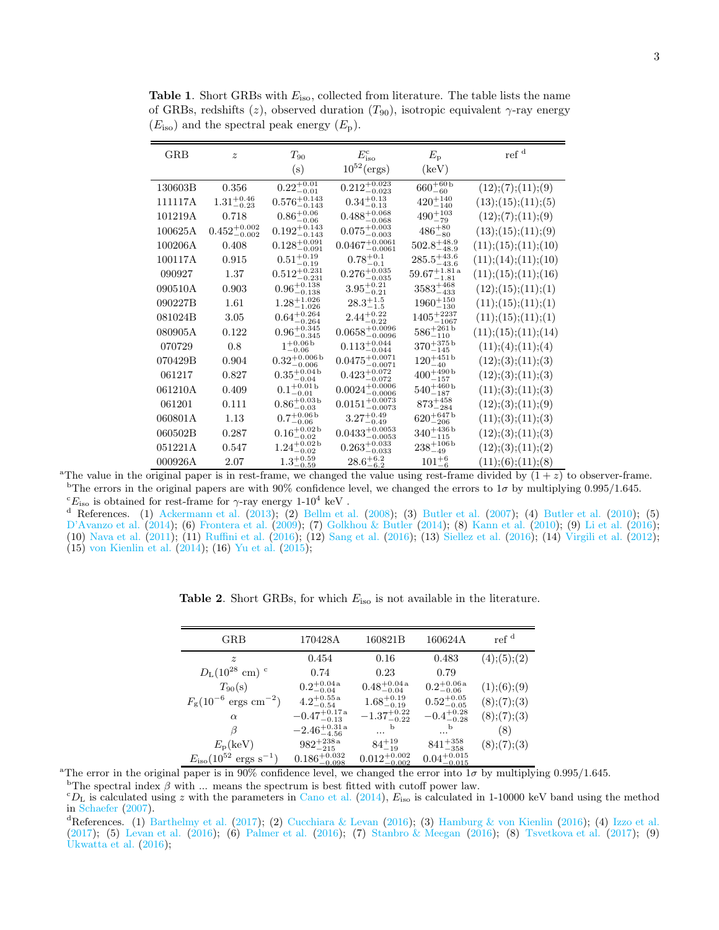| <b>GRB</b> | $\boldsymbol{z}$          | $T_{90}$                  | $E_{\rm iso}^{\rm c}$        | $E_{\rm p}$                | ref <sup>d</sup>       |
|------------|---------------------------|---------------------------|------------------------------|----------------------------|------------------------|
|            |                           | (s)                       | $10^{52}$ (ergs)             | $(\text{keV})$             |                        |
| 130603B    | 0.356                     | $0.22^{+0.01}_{-0.01}$    | $0.212_{-0.023}^{+0.023}$    | $660^{+60\,b}_{-60}$       | (12); (7); (11); (9)   |
| 111117A    | $1.31^{+0.46}_{-0.23}$    | $0.576^{+0.143}_{-0.143}$ | $0.34_{-0.13}^{+0.13}$       | $420^{+140}_{-140}$        | (13); (15); (11); (5)  |
| 101219A    | 0.718                     | $0.86^{+0.06}_{-0.06}$    | $0.488^{+0.068}_{-0.068}$    | $490^{+103}_{-79}$         | (12); (7); (11); (9)   |
| 100625A    | $0.452^{+0.002}_{-0.002}$ | $0.192^{+0.143}_{-0.143}$ | $0.075^{+0.003}_{-0.003}$    | $486^{+80}_{-80}$          | (13); (15); (11); (9)  |
| 100206A    | 0.408                     | $0.128_{-0.091}^{+0.091}$ | $0.0467^{+0.0061}_{-0.0061}$ | $502.8^{+48.9}_{-48.9}$    | (11); (15); (11); (10) |
| 100117A    | 0.915                     | $0.51^{+0.19}_{-0.19}$    | $0.78^{+0.1}_{-0.1}$         | $285.5^{+43.6}_{-43.6}$    | (11); (14); (11); (10) |
| 090927     | 1.37                      | $0.512_{-0.231}^{+0.231}$ | $0.276_{-0.035}^{+0.035}$    | $59.67^{+1.81}_{-1.81}$    | (11); (15); (11); (16) |
| 090510A    | 0.903                     | $0.96_{-0.138}^{+0.138}$  | $3.95^{+0.21}_{-0.21}$       | $3583^{+468}_{-433}$       | (12); (15); (11); (1)  |
| 090227B    | 1.61                      | $1.28_{-1.026}^{+1.026}$  | $28.3^{+1.5}_{-1.5}$         | $1960^{+150}_{-130}$       | (11); (15); (11); (1)  |
| 081024B    | 3.05                      | $0.64^{+0.264}_{-0.264}$  | $2.44_{-0.22}^{+0.22}$       | $1405^{+2237}_{-1067}$     | (11); (15); (11); (1)  |
| 080905A    | 0.122                     | $0.96_{-0.345}^{+0.345}$  | $0.0658^{+0.0096}_{-0.0096}$ | $586^{+261\,b}_{-110}$     | (11); (15); (11); (14) |
| 070729     | 0.8                       | $1^{+0.06\,b}_{-0.06}$    | $0.113^{+0.044}_{-0.044}$    | $370^{+375\,b}_{-145}$     | (11); (4); (11); (4)   |
| 070429B    | 0.904                     | $0.32^{+0.006}_{-0.006}$  | $0.0475_{-0.0071}^{+0.0071}$ | $120^{+451b}_{-40}$        | (12); (3); (11); (3)   |
| 061217     | 0.827                     | $0.35_{-0.04}^{+0.04}$    | $0.423_{-0.072}^{+0.072}$    | $400^{+490\,b}_{-157}$     | (12); (3); (11); (3)   |
| 061210A    | 0.409                     | $0.1^{+0.01}_{-0.01}$     | $0.0024_{-0.0006}^{+0.0006}$ | $540^{+460\,b}_{-187}$     | (11); (3); (11); (3)   |
| 061201     | 0.111                     | $0.86^{+0.03}_{-0.03}$    | $0.0151^{+0.0073}_{-0.0073}$ | $873^{+458}_{-284}$        | (12); (3); (11); (9)   |
| 060801A    | 1.13                      | $0.7^{+0.06}_{-0.06}$     | $3.27^{+0.49}_{-0.49}$       | $620^{+647}_{-206}$        | (11); (3); (11); (3)   |
| 060502B    | 0.287                     | $0.16_{-0.02}^{+0.02}$    | $0.0433_{-0.0053}^{+0.0053}$ | $340^{+436\,b}_{-115}$     | (12); (3); (11); (3)   |
| 051221A    | 0.547                     | $1.24^{+0.02\,b}_{-0.02}$ | $0.263_{-0.033}^{+0.033}$    | $238^{+106\,\rm{b}}_{-49}$ | (12); (3); (11); (2)   |
| 000926A    | 2.07                      | $1.3^{+0.59}_{-0.59}$     | $28.6^{+6.2}_{-6.2}$         | $101^{+6}_{-6}$            | (11);(6);(11);(8)      |

**Table 1.** Short GRBs with  $E_{iso}$ , collected from literature. The table lists the name of GRBs, redshifts (z), observed duration  $(T_{90})$ , isotropic equivalent  $\gamma$ -ray energy  $(E_{\text{iso}})$  and the spectral peak energy  $(E_{\text{p}})$ .

<sup>a</sup>The value in the original paper is in rest-frame, we changed the value using rest-frame divided by  $(1 + z)$  to observer-frame. <sup>b</sup>The errors in the original papers are with 90% confidence level, we changed the errors to  $1\sigma$  by multiplying 0.995/1.645.  ${}^cE_{\text{iso}}$  is obtained for rest-frame for  $\gamma$ -ray energy 1-10<sup>4</sup> keV.

<sup>d</sup> References. (1) Ackermann et al. (2013); (2) Bellm et al. (2008); (3) Butler et al. (2007); (4) Butler et al. (2010); (5) D'Avanzo et al. (2014); (6) Frontera et al. (2009); (7) Golkhou & Butler (2014); (8) Kann et al. (2010); (9) Li et al. (2016); (10) Nava et al. (2011); (11) Ruffini et al. (2016); (12) Sang et al. (2016); (13) Siellez et al. (2016); (14) Virgili et al. (2012); (15) von Kienlin et al. (2014); (16) Yu et al. (2015);

| <b>GRB</b>                                  | 170428A                   | 160821B                   | 160624A                  | ref <sup>d</sup> |
|---------------------------------------------|---------------------------|---------------------------|--------------------------|------------------|
| $\tilde{z}$                                 | 0.454                     | 0.16                      | 0.483                    | (4);(5);(2)      |
| $D_{\rm L}(10^{28}~{\rm cm})$ c             | 0.74                      | 0.23                      | 0.79                     |                  |
| $T_{90}(s)$                                 | $0.2^{+0.04}_{-0.04}$     | $0.48^{+0.04}_{-0.04}$    | $0.2^{+0.06a}_{-0.06}$   | (1);(6);(9)      |
| $F_{\rm g} (10^{-6} \text{ ergs cm}^{-2})$  | $4.2^{+0.55a}_{-0.54}$    | $1.68^{+0.19}_{-0.19}$    | $0.52^{+0.05}_{-0.05}$   | (8);(7);(3)      |
| $\alpha$                                    | $-0.47^{+0.17}_{-0.13}$   | $-1.37^{+0.22}_{-0.22}$   | $-0.4^{+0.28}_{-0.28}$   | (8);(7);(3)      |
| ß                                           | $-2.46_{-4.56}^{+0.31a}$  | b                         | b                        | (8)              |
| $E_{\rm p}({\rm keV})$                      | $982^{+238a}_{-215}$      | $84^{+19}_{-19}$          | $841^{+358}_{-358}$      | (8);(7);(3)      |
| $E_{\rm iso} (10^{52} \text{ ergs s}^{-1})$ | $0.186^{+0.032}_{-0.098}$ | $0.012^{+0.002}_{-0.002}$ | $0.04_{-0.015}^{+0.015}$ |                  |

**Table 2.** Short GRBs, for which  $E_{\text{iso}}$  is not available in the literature.

<sup>a</sup>The error in the original paper is in 90% confidence level, we changed the error into  $1\sigma$  by multiplying 0.995/1.645.

<sup>b</sup>The spectral index  $\beta$  with ... means the spectrum is best fitted with cutoff power law.

 $c_{\text{DL}}$  is calculated using z with the parameters in Cano et al. (2014),  $E_{\text{iso}}$  is calculated in 1-10000 keV band using the method in Schaefer (2007).

dReferences. (1) Barthelmy et al. (2017); (2) Cucchiara & Levan (2016); (3) Hamburg & von Kienlin (2016); (4) Izzo et al. (2017); (5) Levan et al. (2016); (6) Palmer et al. (2016); (7) Stanbro & Meegan (2016); (8) Tsvetkova et al. (2017); (9) Ukwatta et al. (2016);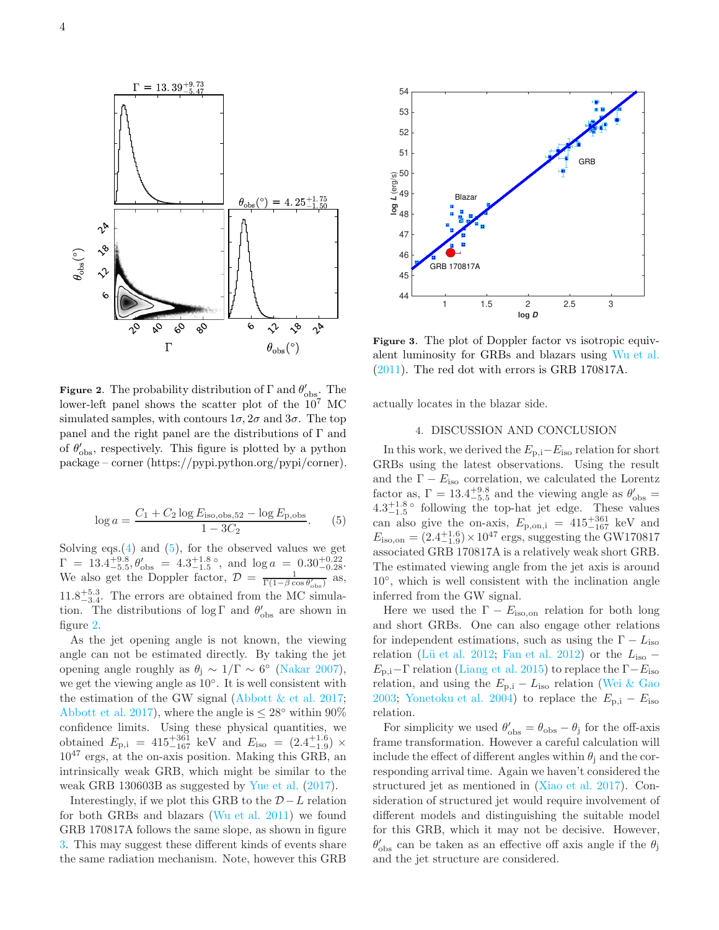

**Figure 2.** The probability distribution of  $\Gamma$  and  $\theta'_{\text{obs}}$ . The lower-left panel shows the scatter plot of the  $10^7$  MC simulated samples, with contours  $1\sigma$ ,  $2\sigma$  and  $3\sigma$ . The top panel and the right panel are the distributions of Γ and of  $\theta'_{\text{obs}}$ , respectively. This figure is plotted by a python package – corner (https://pypi.python.org/pypi/corner).

$$
\log a = \frac{C_1 + C_2 \log E_{\text{iso,obs,52}} - \log E_{\text{p,obs}}}{1 - 3C_2}.
$$
 (5)

Solving eqs. $(4)$  and  $(5)$ , for the observed values we get  $\Gamma = 13.4^{+9.8}_{-5.5}, \theta'_{\text{obs}} = 4.3^{+1.8}_{-1.5}$ °, and  $\log a = 0.30^{+0.22}_{-0.28}$ . We also get the Doppler factor,  $\mathcal{D} = \frac{1}{\Gamma(1-\beta \cos \theta'_{\rm obs})}$  as,  $11.8^{+5.3}_{-3.4}$ . The errors are obtained from the MC simulation. The distributions of  $\log \Gamma$  and  $\theta'_{\rm obs}$  are shown in figure 2.

As the jet opening angle is not known, the viewing angle can not be estimated directly. By taking the jet opening angle roughly as  $\theta_j \sim 1/\Gamma \sim 6^{\circ}$  (Nakar 2007), we get the viewing angle as 10◦ . It is well consistent with the estimation of the GW signal (Abbott  $&$  et al. 2017; Abbott et al. 2017), where the angle is  $\leq 28°$  within 90% confidence limits. Using these physical quantities, we obtained  $E_{\rm p,i}$  = 415<sup>+361</sup> keV and  $E_{\rm iso}$  =  $(2.4^{+1.6}_{-1.9}) \times$  $10^{47}$  ergs, at the on-axis position. Making this GRB, an intrinsically weak GRB, which might be similar to the weak GRB 130603B as suggested by Yue et al. (2017).

Interestingly, if we plot this GRB to the  $D - L$  relation for both GRBs and blazars (Wu et al. 2011) we found GRB 170817A follows the same slope, as shown in figure 3. This may suggest these different kinds of events share the same radiation mechanism. Note, however this GRB



Figure 3. The plot of Doppler factor vs isotropic equivalent luminosity for GRBs and blazars using Wu et al. (2011). The red dot with errors is GRB 170817A.

actually locates in the blazar side.

## 4. DISCUSSION AND CONCLUSION

In this work, we derived the  $E_{p,i}-E_{iso}$  relation for short GRBs using the latest observations. Using the result and the  $\Gamma - E_{\text{iso}}$  correlation, we calculated the Lorentz factor as,  $\Gamma = 13.4^{+9.8}_{-5.5}$  and the viewing angle as  $\theta'_{\rm obs} =$  $4.3^{+1.8}_{-1.5}$  following the top-hat jet edge. These values can also give the on-axis,  $E_{\text{p,on,i}} = 415_{-167}^{+361} \text{ keV}$  and  $E_{\text{iso,on}} = (2.4_{-1.9}^{+1.6}) \times 10^{47} \text{ ergs, suggesting the GW170817}$ associated GRB 170817A is a relatively weak short GRB. The estimated viewing angle from the jet axis is around 10◦ , which is well consistent with the inclination angle inferred from the GW signal.

Here we used the  $\Gamma - E_{\text{iso,on}}$  relation for both long and short GRBs. One can also engage other relations for independent estimations, such as using the  $\Gamma - L_{\text{iso}}$ relation (Lü et al. 2012; Fan et al. 2012) or the  $L_{\text{iso}}$  –  $E_{\rm p,i}-\Gamma$  relation (Liang et al. 2015) to replace the  $\Gamma-E_{\rm iso}$ relation, and using the  $E_{p,i} - L_{iso}$  relation (Wei & Gao 2003; Yonetoku et al. 2004) to replace the  $E_{p,i} - E_{iso}$ relation.

For simplicity we used  $\theta'_{\rm obs} = \theta_{\rm obs} - \theta_{\rm j}$  for the off-axis frame transformation. However a careful calculation will include the effect of different angles within  $\theta_i$  and the corresponding arrival time. Again we haven't considered the structured jet as mentioned in (Xiao et al. 2017). Consideration of structured jet would require involvement of different models and distinguishing the suitable model for this GRB, which it may not be decisive. However,  $\theta'_{\rm obs}$  can be taken as an effective off axis angle if the  $\theta_{\rm j}$ and the jet structure are considered.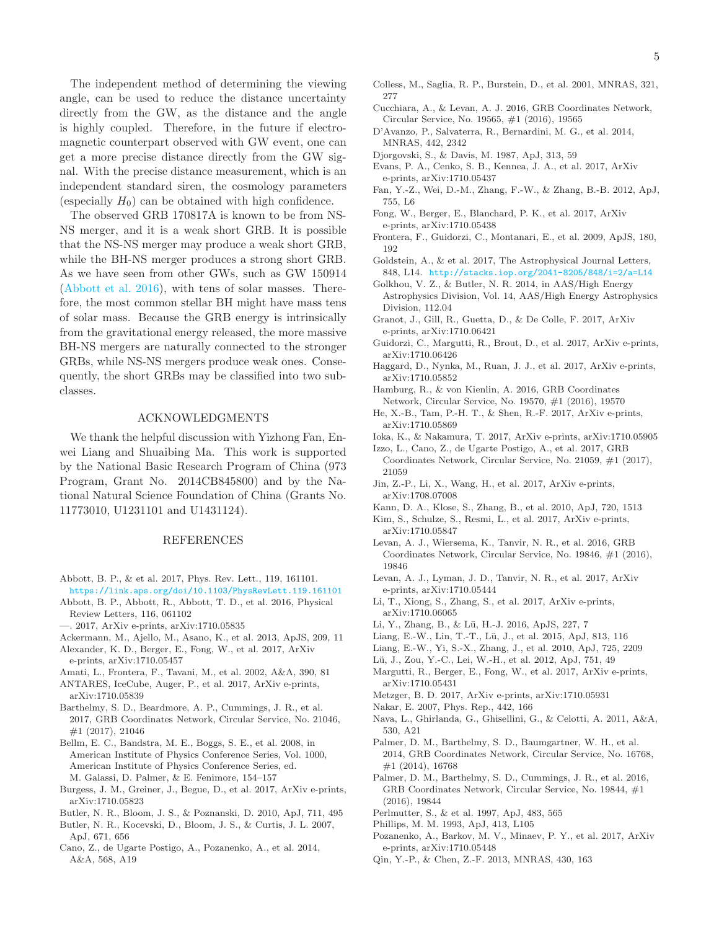The independent method of determining the viewing angle, can be used to reduce the distance uncertainty directly from the GW, as the distance and the angle is highly coupled. Therefore, in the future if electromagnetic counterpart observed with GW event, one can get a more precise distance directly from the GW signal. With the precise distance measurement, which is an independent standard siren, the cosmology parameters (especially  $H_0$ ) can be obtained with high confidence.

The observed GRB 170817A is known to be from NS-NS merger, and it is a weak short GRB. It is possible that the NS-NS merger may produce a weak short GRB, while the BH-NS merger produces a strong short GRB. As we have seen from other GWs, such as GW 150914 (Abbott et al. 2016), with tens of solar masses. Therefore, the most common stellar BH might have mass tens of solar mass. Because the GRB energy is intrinsically from the gravitational energy released, the more massive BH-NS mergers are naturally connected to the stronger GRBs, while NS-NS mergers produce weak ones. Consequently, the short GRBs may be classified into two subclasses.

#### ACKNOWLEDGMENTS

We thank the helpful discussion with Yizhong Fan, Enwei Liang and Shuaibing Ma. This work is supported by the National Basic Research Program of China (973 Program, Grant No. 2014CB845800) and by the National Natural Science Foundation of China (Grants No. 11773010, U1231101 and U1431124).

#### REFERENCES

- Abbott, B. P., & et al. 2017, Phys. Rev. Lett., 119, 161101. https://link.aps.org/doi/10.1103/PhysRevLett.119.161101
- Abbott, B. P., Abbott, R., Abbott, T. D., et al. 2016, Physical Review Letters, 116, 061102
- —. 2017, ArXiv e-prints, arXiv:1710.05835
- Ackermann, M., Ajello, M., Asano, K., et al. 2013, ApJS, 209, 11
- Alexander, K. D., Berger, E., Fong, W., et al. 2017, ArXiv e-prints, arXiv:1710.05457
- Amati, L., Frontera, F., Tavani, M., et al. 2002, A&A, 390, 81
- ANTARES, IceCube, Auger, P., et al. 2017, ArXiv e-prints, arXiv:1710.05839
- Barthelmy, S. D., Beardmore, A. P., Cummings, J. R., et al. 2017, GRB Coordinates Network, Circular Service, No. 21046, #1 (2017), 21046
- Bellm, E. C., Bandstra, M. E., Boggs, S. E., et al. 2008, in American Institute of Physics Conference Series, Vol. 1000, American Institute of Physics Conference Series, ed. M. Galassi, D. Palmer, & E. Fenimore, 154–157
- Burgess, J. M., Greiner, J., Begue, D., et al. 2017, ArXiv e-prints, arXiv:1710.05823
- Butler, N. R., Bloom, J. S., & Poznanski, D. 2010, ApJ, 711, 495
- Butler, N. R., Kocevski, D., Bloom, J. S., & Curtis, J. L. 2007, ApJ, 671, 656
- Cano, Z., de Ugarte Postigo, A., Pozanenko, A., et al. 2014, A&A, 568, A19
- Colless, M., Saglia, R. P., Burstein, D., et al. 2001, MNRAS, 321, 277
- Cucchiara, A., & Levan, A. J. 2016, GRB Coordinates Network, Circular Service, No. 19565, #1 (2016), 19565
- D'Avanzo, P., Salvaterra, R., Bernardini, M. G., et al. 2014, MNRAS, 442, 2342
- Djorgovski, S., & Davis, M. 1987, ApJ, 313, 59
- Evans, P. A., Cenko, S. B., Kennea, J. A., et al. 2017, ArXiv e-prints, arXiv:1710.05437
- Fan, Y.-Z., Wei, D.-M., Zhang, F.-W., & Zhang, B.-B. 2012, ApJ, 755, L6
- Fong, W., Berger, E., Blanchard, P. K., et al. 2017, ArXiv e-prints, arXiv:1710.05438
- Frontera, F., Guidorzi, C., Montanari, E., et al. 2009, ApJS, 180, 192
- Goldstein, A., & et al. 2017, The Astrophysical Journal Letters, 848, L14. http://stacks.iop.org/2041-8205/848/i=2/a=L14
- Golkhou, V. Z., & Butler, N. R. 2014, in AAS/High Energy Astrophysics Division, Vol. 14, AAS/High Energy Astrophysics Division, 112.04
- Granot, J., Gill, R., Guetta, D., & De Colle, F. 2017, ArXiv e-prints, arXiv:1710.06421
- Guidorzi, C., Margutti, R., Brout, D., et al. 2017, ArXiv e-prints, arXiv:1710.06426
- Haggard, D., Nynka, M., Ruan, J. J., et al. 2017, ArXiv e-prints, arXiv:1710.05852
- Hamburg, R., & von Kienlin, A. 2016, GRB Coordinates Network, Circular Service, No. 19570, #1 (2016), 19570
- He, X.-B., Tam, P.-H. T., & Shen, R.-F. 2017, ArXiv e-prints, arXiv:1710.05869
- Ioka, K., & Nakamura, T. 2017, ArXiv e-prints, arXiv:1710.05905
- Izzo, L., Cano, Z., de Ugarte Postigo, A., et al. 2017, GRB Coordinates Network, Circular Service, No. 21059, #1 (2017), 21059
- Jin, Z.-P., Li, X., Wang, H., et al. 2017, ArXiv e-prints, arXiv:1708.07008
- Kann, D. A., Klose, S., Zhang, B., et al. 2010, ApJ, 720, 1513
- Kim, S., Schulze, S., Resmi, L., et al. 2017, ArXiv e-prints, arXiv:1710.05847
- Levan, A. J., Wiersema, K., Tanvir, N. R., et al. 2016, GRB Coordinates Network, Circular Service, No. 19846, #1 (2016), 19846
- Levan, A. J., Lyman, J. D., Tanvir, N. R., et al. 2017, ArXiv e-prints, arXiv:1710.05444
- Li, T., Xiong, S., Zhang, S., et al. 2017, ArXiv e-prints, arXiv:1710.06065
- Li, Y., Zhang, B., & Lü, H.-J. 2016, ApJS, 227, 7
- Liang, E.-W., Lin, T.-T., Lü, J., et al. 2015, ApJ, 813, 116
- Liang, E.-W., Yi, S.-X., Zhang, J., et al. 2010, ApJ, 725, 2209
- Lü, J., Zou, Y.-C., Lei, W.-H., et al. 2012, ApJ, 751, 49
- Margutti, R., Berger, E., Fong, W., et al. 2017, ArXiv e-prints, arXiv:1710.05431
- Metzger, B. D. 2017, ArXiv e-prints, arXiv:1710.05931
- Nakar, E. 2007, Phys. Rep., 442, 166
- Nava, L., Ghirlanda, G., Ghisellini, G., & Celotti, A. 2011, A&A, 530, A21
- Palmer, D. M., Barthelmy, S. D., Baumgartner, W. H., et al. 2014, GRB Coordinates Network, Circular Service, No. 16768, #1 (2014), 16768
- Palmer, D. M., Barthelmy, S. D., Cummings, J. R., et al. 2016, GRB Coordinates Network, Circular Service, No. 19844, #1 (2016), 19844
- Perlmutter, S., & et al. 1997, ApJ, 483, 565
- Phillips, M. M. 1993, ApJ, 413, L105
- Pozanenko, A., Barkov, M. V., Minaev, P. Y., et al. 2017, ArXiv e-prints, arXiv:1710.05448
- Qin, Y.-P., & Chen, Z.-F. 2013, MNRAS, 430, 163